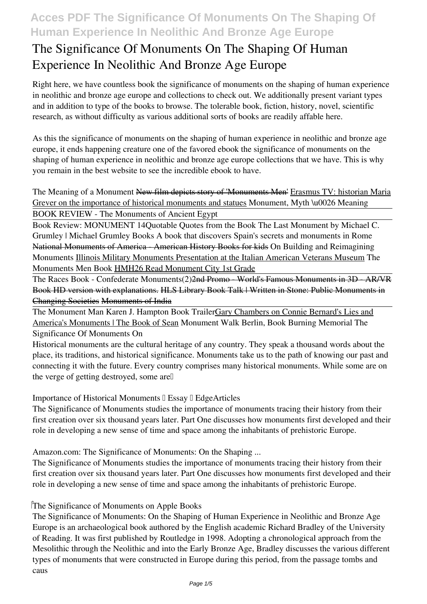# **The Significance Of Monuments On The Shaping Of Human Experience In Neolithic And Bronze Age Europe**

Right here, we have countless book **the significance of monuments on the shaping of human experience in neolithic and bronze age europe** and collections to check out. We additionally present variant types and in addition to type of the books to browse. The tolerable book, fiction, history, novel, scientific research, as without difficulty as various additional sorts of books are readily affable here.

As this the significance of monuments on the shaping of human experience in neolithic and bronze age europe, it ends happening creature one of the favored ebook the significance of monuments on the shaping of human experience in neolithic and bronze age europe collections that we have. This is why you remain in the best website to see the incredible ebook to have.

*The Meaning of a Monument* New film depicts story of 'Monuments Men' Erasmus TV: historian Maria Grever on the importance of historical monuments and statues **Monument, Myth \u0026 Meaning** BOOK REVIEW - The Monuments of Ancient Egypt

Book Review: MONUMENT 14*Quotable Quotes from the Book The Last Monument by Michael C. Grumley | Michael Grumley Books A book that discovers Spain's secrets and monuments in Rome* National Monuments of America - American History Books for kids On Building and Reimagining Monuments Illinois Military Monuments Presentation at the Italian American Veterans Museum *The Monuments Men Book* HMH26 Read Monument City 1st Grade

The Races Book - Confederate Monuments(2) 2nd Promo - World's Famous Monuments in 3D - AR/VR Book HD version with explanations. HLS Library Book Talk | Written in Stone: Public Monuments in Changing Societies Monuments of India

The Monument Man Karen J. Hampton Book TrailerGary Chambers on Connie Bernard's Lies and America's Monuments | The Book of Sean **Monument Walk Berlin, Book Burning Memorial The Significance Of Monuments On**

Historical monuments are the cultural heritage of any country. They speak a thousand words about the place, its traditions, and historical significance. Monuments take us to the path of knowing our past and connecting it with the future. Every country comprises many historical monuments. While some are on the verge of getting destroyed, some are

**Importance of Historical Monuments II Essay II EdgeArticles** 

The Significance of Monuments studies the importance of monuments tracing their history from their first creation over six thousand years later. Part One discusses how monuments first developed and their role in developing a new sense of time and space among the inhabitants of prehistoric Europe.

**Amazon.com: The Significance of Monuments: On the Shaping ...**

The Significance of Monuments studies the importance of monuments tracing their history from their first creation over six thousand years later. Part One discusses how monuments first developed and their role in developing a new sense of time and space among the inhabitants of prehistoric Europe.

#### **The Significance of Monuments on Apple Books**

The Significance of Monuments: On the Shaping of Human Experience in Neolithic and Bronze Age Europe is an archaeological book authored by the English academic Richard Bradley of the University of Reading. It was first published by Routledge in 1998. Adopting a chronological approach from the Mesolithic through the Neolithic and into the Early Bronze Age, Bradley discusses the various different types of monuments that were constructed in Europe during this period, from the passage tombs and caus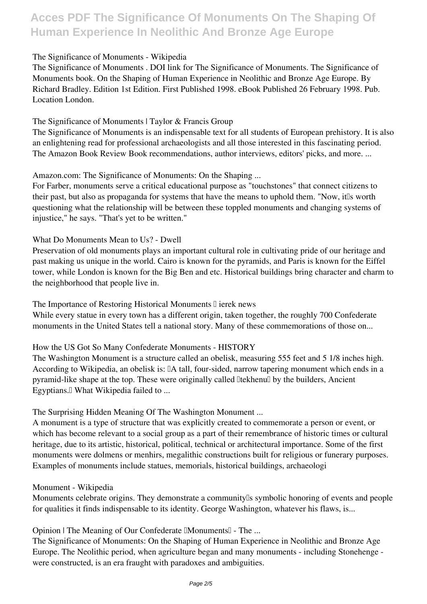#### **The Significance of Monuments - Wikipedia**

The Significance of Monuments . DOI link for The Significance of Monuments. The Significance of Monuments book. On the Shaping of Human Experience in Neolithic and Bronze Age Europe. By Richard Bradley. Edition 1st Edition. First Published 1998. eBook Published 26 February 1998. Pub. Location London.

#### **The Significance of Monuments | Taylor & Francis Group**

The Significance of Monuments is an indispensable text for all students of European prehistory. It is also an enlightening read for professional archaeologists and all those interested in this fascinating period. The Amazon Book Review Book recommendations, author interviews, editors' picks, and more. ...

#### **Amazon.com: The Significance of Monuments: On the Shaping ...**

For Farber, monuments serve a critical educational purpose as "touchstones" that connect citizens to their past, but also as propaganda for systems that have the means to uphold them. "Now, it us worth questioning what the relationship will be between these toppled monuments and changing systems of injustice," he says. "That's yet to be written."

#### **What Do Monuments Mean to Us? - Dwell**

Preservation of old monuments plays an important cultural role in cultivating pride of our heritage and past making us unique in the world. Cairo is known for the pyramids, and Paris is known for the Eiffel tower, while London is known for the Big Ben and etc. Historical buildings bring character and charm to the neighborhood that people live in.

#### The Importance of Restoring Historical Monuments I ierek news

While every statue in every town has a different origin, taken together, the roughly 700 Confederate monuments in the United States tell a national story. Many of these commemorations of those on...

#### **How the US Got So Many Confederate Monuments - HISTORY**

The Washington Monument is a structure called an obelisk, measuring 555 feet and 5 1/8 inches high. According to Wikipedia, an obelisk is: [A tall, four-sided, narrow tapering monument which ends in a pyramid-like shape at the top. These were originally called litekhenul by the builders, Ancient Egyptians.<sup>[]</sup> What Wikipedia failed to ...

#### **The Surprising Hidden Meaning Of The Washington Monument ...**

A monument is a type of structure that was explicitly created to commemorate a person or event, or which has become relevant to a social group as a part of their remembrance of historic times or cultural heritage, due to its artistic, historical, political, technical or architectural importance. Some of the first monuments were dolmens or menhirs, megalithic constructions built for religious or funerary purposes. Examples of monuments include statues, memorials, historical buildings, archaeologi

#### **Monument - Wikipedia**

Monuments celebrate origins. They demonstrate a community<sup>[]</sup> symbolic honoring of events and people for qualities it finds indispensable to its identity. George Washington, whatever his flaws, is...

#### **Opinion | The Meaning of Our Confederate ||Monuments|| - The ...**

The Significance of Monuments: On the Shaping of Human Experience in Neolithic and Bronze Age Europe. The Neolithic period, when agriculture began and many monuments - including Stonehenge were constructed, is an era fraught with paradoxes and ambiguities.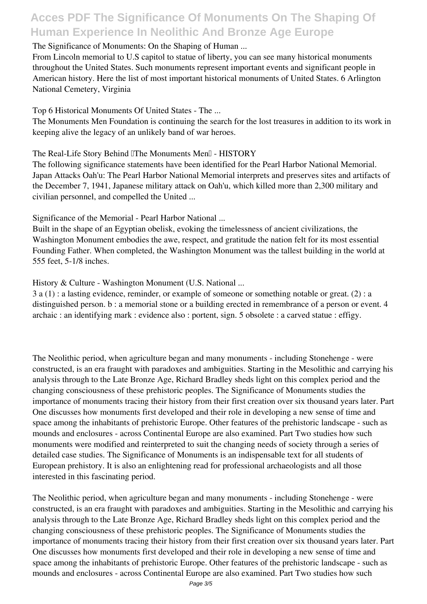#### **The Significance of Monuments: On the Shaping of Human ...**

From Lincoln memorial to U.S capitol to statue of liberty, you can see many historical monuments throughout the United States. Such monuments represent important events and significant people in American history. Here the list of most important historical monuments of United States. 6 Arlington National Cemetery, Virginia

**Top 6 Historical Monuments Of United States - The ...**

The Monuments Men Foundation is continuing the search for the lost treasures in addition to its work in keeping alive the legacy of an unlikely band of war heroes.

The Real-Life Story Behind UThe Monuments Men<sub>U</sub> - HISTORY

The following significance statements have been identified for the Pearl Harbor National Memorial. Japan Attacks Oah'u: The Pearl Harbor National Memorial interprets and preserves sites and artifacts of the December 7, 1941, Japanese military attack on Oah'u, which killed more than 2,300 military and civilian personnel, and compelled the United ...

**Significance of the Memorial - Pearl Harbor National ...**

Built in the shape of an Egyptian obelisk, evoking the timelessness of ancient civilizations, the Washington Monument embodies the awe, respect, and gratitude the nation felt for its most essential Founding Father. When completed, the Washington Monument was the tallest building in the world at 555 feet, 5-1/8 inches.

**History & Culture - Washington Monument (U.S. National ...**

3 a (1) : a lasting evidence, reminder, or example of someone or something notable or great. (2) : a distinguished person. b : a memorial stone or a building erected in remembrance of a person or event. 4 archaic : an identifying mark : evidence also : portent, sign. 5 obsolete : a carved statue : effigy.

The Neolithic period, when agriculture began and many monuments - including Stonehenge - were constructed, is an era fraught with paradoxes and ambiguities. Starting in the Mesolithic and carrying his analysis through to the Late Bronze Age, Richard Bradley sheds light on this complex period and the changing consciousness of these prehistoric peoples. The Significance of Monuments studies the importance of monuments tracing their history from their first creation over six thousand years later. Part One discusses how monuments first developed and their role in developing a new sense of time and space among the inhabitants of prehistoric Europe. Other features of the prehistoric landscape - such as mounds and enclosures - across Continental Europe are also examined. Part Two studies how such monuments were modified and reinterpreted to suit the changing needs of society through a series of detailed case studies. The Significance of Monuments is an indispensable text for all students of European prehistory. It is also an enlightening read for professional archaeologists and all those interested in this fascinating period.

The Neolithic period, when agriculture began and many monuments - including Stonehenge - were constructed, is an era fraught with paradoxes and ambiguities. Starting in the Mesolithic and carrying his analysis through to the Late Bronze Age, Richard Bradley sheds light on this complex period and the changing consciousness of these prehistoric peoples. The Significance of Monuments studies the importance of monuments tracing their history from their first creation over six thousand years later. Part One discusses how monuments first developed and their role in developing a new sense of time and space among the inhabitants of prehistoric Europe. Other features of the prehistoric landscape - such as mounds and enclosures - across Continental Europe are also examined. Part Two studies how such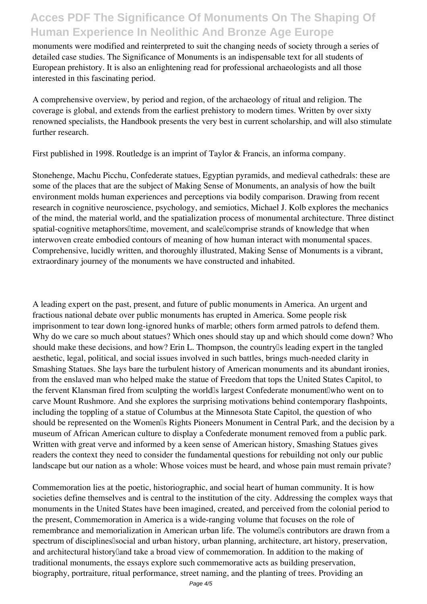monuments were modified and reinterpreted to suit the changing needs of society through a series of detailed case studies. The Significance of Monuments is an indispensable text for all students of European prehistory. It is also an enlightening read for professional archaeologists and all those interested in this fascinating period.

A comprehensive overview, by period and region, of the archaeology of ritual and religion. The coverage is global, and extends from the earliest prehistory to modern times. Written by over sixty renowned specialists, the Handbook presents the very best in current scholarship, and will also stimulate further research.

First published in 1998. Routledge is an imprint of Taylor & Francis, an informa company.

Stonehenge, Machu Picchu, Confederate statues, Egyptian pyramids, and medieval cathedrals: these are some of the places that are the subject of Making Sense of Monuments, an analysis of how the built environment molds human experiences and perceptions via bodily comparison. Drawing from recent research in cognitive neuroscience, psychology, and semiotics, Michael J. Kolb explores the mechanics of the mind, the material world, and the spatialization process of monumental architecture. Three distinct spatial-cognitive metaphors ultime, movement, and scale comprise strands of knowledge that when interwoven create embodied contours of meaning of how human interact with monumental spaces. Comprehensive, lucidly written, and thoroughly illustrated, Making Sense of Monuments is a vibrant, extraordinary journey of the monuments we have constructed and inhabited.

A leading expert on the past, present, and future of public monuments in America. An urgent and fractious national debate over public monuments has erupted in America. Some people risk imprisonment to tear down long-ignored hunks of marble; others form armed patrols to defend them. Why do we care so much about statues? Which ones should stay up and which should come down? Who should make these decisions, and how? Erin L. Thompson, the country<sup>[]</sup>s leading expert in the tangled aesthetic, legal, political, and social issues involved in such battles, brings much-needed clarity in Smashing Statues. She lays bare the turbulent history of American monuments and its abundant ironies, from the enslaved man who helped make the statue of Freedom that tops the United States Capitol, to the fervent Klansman fired from sculpting the worldls largest Confederate monument who went on to carve Mount Rushmore. And she explores the surprising motivations behind contemporary flashpoints, including the toppling of a statue of Columbus at the Minnesota State Capitol, the question of who should be represented on the Women's Rights Pioneers Monument in Central Park, and the decision by a museum of African American culture to display a Confederate monument removed from a public park. Written with great verve and informed by a keen sense of American history, Smashing Statues gives readers the context they need to consider the fundamental questions for rebuilding not only our public landscape but our nation as a whole: Whose voices must be heard, and whose pain must remain private?

Commemoration lies at the poetic, historiographic, and social heart of human community. It is how societies define themselves and is central to the institution of the city. Addressing the complex ways that monuments in the United States have been imagined, created, and perceived from the colonial period to the present, Commemoration in America is a wide-ranging volume that focuses on the role of remembrance and memorialization in American urban life. The volumells contributors are drawn from a spectrum of disciplines social and urban history, urban planning, architecture, art history, preservation, and architectural historylland take a broad view of commemoration. In addition to the making of traditional monuments, the essays explore such commemorative acts as building preservation, biography, portraiture, ritual performance, street naming, and the planting of trees. Providing an